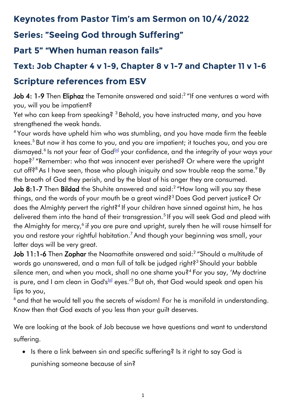## **Keynotes from Pastor Tim's am Sermon on 10/4/2022**

### **Series: "Seeing God through Suffering"**

### **Part 5" "When human reason fails"**

## **Text: Job Chapter 4 v 1-9, Chapter 8 v 1-7 and Chapter 11 v 1-6 Scripture references from ESV**

**Job 4: 1-9** Then **Eliphaz** the Temanite answered and said:<sup>2</sup> "If one ventures a word with you, will you be impatient?

Yet who can keep from speaking? <sup>3</sup> Behold, you have instructed many, and you have strengthened the weak hands.

<sup>4</sup> Your words have upheld him who was stumbling, and you have made firm the feeble knees.<sup>5</sup> But now it has come to you, and you are impatient; it touches you, and you are dismayed.<sup>6</sup> Is not your fear of God<sup>[<u>a</u>]</sup> your confidence, and the integrity of your ways your hope?<sup>7</sup> "Remember: who that was innocent ever perished? Or where were the upright cut off?<sup>8</sup> As I have seen, those who plough iniquity and sow trouble reap the same.  $9$  By the breath of God they perish, and by the blast of his anger they are consumed.

**Job 8:1-7** Then **Bildad** the Shuhite answered and said:<sup>2</sup> "How long will you say these things, and the words of your mouth be a great wind?<sup>3</sup> Does God pervert justice? Or does the Almighty pervert the right?<sup>4</sup> If your children have sinned against him, he has delivered them into the hand of their transgression.<sup>5</sup> If you will seek God and plead with the Almighty for mercy, $^6$  if you are pure and upright, surely then he will rouse himself for you and restore your rightful habitation.<sup>7</sup> And though your beginning was small, your latter days will be very great.

**Job 11:1-6** Then **Zophar** the Naamathite answered and said:<sup>2</sup> "Should a multitude of words go unanswered, and a man full of talk be judged right?<sup>3</sup> Should your babble silence men, and when you mock, shall no one shame you?<sup>4</sup> For you say, 'My doctrine is pure, and I am clean in God's<sup>[<u>a</u>]</sup> eyes.'<sup>5</sup> But oh, that God would speak and open his lips to you,

<sup>6</sup> and that he would tell you the secrets of wisdom! For he is manifold in understanding. Know then that God exacts of you less than your guilt deserves.

We are looking at the book of Job because we have questions and want to understand suffering.

• Is there a link between sin and specific suffering? Is it right to say God is punishing someone because of sin?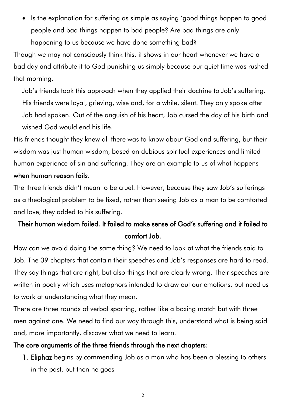• Is the explanation for suffering as simple as saying 'good things happen to good people and bad things happen to bad people? Are bad things are only happening to us because we have done something bad?

Though we may not consciously think this, it shows in our heart whenever we have a bad day and attribute it to God punishing us simply because our quiet time was rushed that morning.

Job's friends took this approach when they applied their doctrine to Job's suffering. His friends were loyal, grieving, wise and, for a while, silent. They only spoke after Job had spoken. Out of the anguish of his heart, Job cursed the day of his birth and wished God would end his life.

His friends thought they knew all there was to know about God and suffering, but their wisdom was just human wisdom, based on dubious spiritual experiences and limited human experience of sin and suffering. They are an example to us of what happens when human reason fails.

The three friends didn't mean to be cruel. However, because they saw Job's sufferings as a theological problem to be fixed, rather than seeing Job as a man to be comforted and love, they added to his suffering.

#### Their human wisdom failed. It failed to make sense of God's suffering and it failed to comfort Job.

How can we avoid doing the same thing? We need to look at what the friends said to Job. The 39 chapters that contain their speeches and Job's responses are hard to read. They say things that are right, but also things that are clearly wrong. Their speeches are written in poetry which uses metaphors intended to draw out our emotions, but need us to work at understanding what they mean.

There are three rounds of verbal sparring, rather like a boxing match but with three men against one. We need to find our way through this, understand what is being said and, more importantly, discover what we need to learn.

#### The core arguments of the three friends through the next chapters:

1. Eliphaz begins by commending Job as a man who has been a blessing to others in the past, but then he goes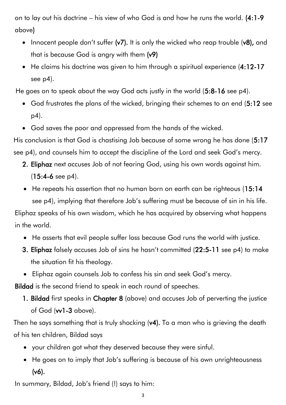on to lay out his doctrine – his view of who God is and how he runs the world. (4:1-9 above)

- Innocent people don't suffer (v7). It is only the wicked who reap trouble (v8), and that is because God is angry with them (v9)
- He claims his doctrine was given to him through a spiritual experience (4:12-17 see p4).

He goes on to speak about the way God acts justly in the world (5:8-16 see p4).

- God frustrates the plans of the wicked, bringing their schemes to an end (5:12 see p4).
- God saves the poor and oppressed from the hands of the wicked.

His conclusion is that God is chastising Job because of some wrong he has done (5:17 see p4), and counsels him to accept the discipline of the Lord and seek God's mercy.

- 2. Eliphaz next accuses Job of not fearing God, using his own words against him. (15:4-6 see p4).
- He repeats his assertion that no human born on earth can be righteous (15:14) see p4), implying that therefore Job's suffering must be because of sin in his life.

Eliphaz speaks of his own wisdom, which he has acquired by observing what happens in the world.

- He asserts that evil people suffer loss because God runs the world with justice.
- 3. Eliphaz falsely accuses Job of sins he hasn't committed (22:5-11 see p4) to make the situation fit his theology.
- Eliphaz again counsels Job to confess his sin and seek God's mercy.

Bildad is the second friend to speak in each round of speeches.

1. Bildad first speaks in Chapter 8 (above) and accuses Job of perverting the justice of God (vv1-3 above).

Then he says something that is truly shocking (v4). To a man who is grieving the death of his ten children, Bildad says

- your children got what they deserved because they were sinful.
- He goes on to imply that Job's suffering is because of his own unrighteousness (v6).

In summary, Bildad, Job's friend (!) says to him: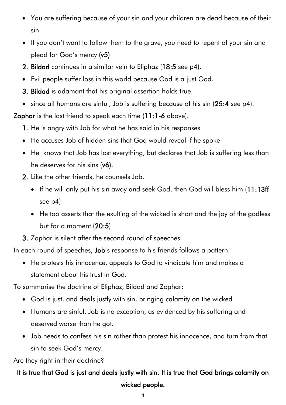- You are suffering because of your sin and your children are dead because of their sin
- If you don't want to follow them to the grave, you need to repent of your sin and plead for God's mercy (v5)
- 2. Bildad continues in a similar vein to Eliphaz (18:5 see p4).
- Evil people suffer loss in this world because God is a just God.
- 3. Bildad is adamant that his original assertion holds true.
- since all humans are sinful, Job is suffering because of his sin (25:4 see p4).

Zophar is the last friend to speak each time (11:1-6 above).

- 1. He is angry with Job for what he has said in his responses.
- He accuses Job of hidden sins that God would reveal if he spoke
- He knows that Job has lost everything, but declares that Job is suffering less than he deserves for his sins (v6).
- 2. Like the other friends, he counsels Job.
	- If he will only put his sin away and seek God, then God will bless him (11:13ff see p4)
	- He too asserts that the exulting of the wicked is short and the joy of the godless but for a moment (20:5)
- 3. Zophar is silent after the second round of speeches.

In each round of speeches, **Job**'s response to his friends follows a pattern:

• He protests his innocence, appeals to God to vindicate him and makes a statement about his trust in God.

To summarise the doctrine of Eliphaz, Bildad and Zophar:

- God is just, and deals justly with sin, bringing calamity on the wicked
- Humans are sinful. Job is no exception, as evidenced by his suffering and deserved worse than he got.
- Job needs to confess his sin rather than protest his innocence, and turn from that sin to seek God's mercy.

Are they right in their doctrine?

#### It is true that God is just and deals justly with sin. It is true that God brings calamity on wicked people.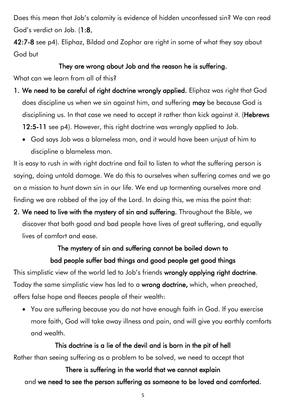Does this mean that Job's calamity is evidence of hidden unconfessed sin? We can read God's verdict on Job. (1:8,

42:7-8 see p4). Eliphaz, Bildad and Zophar are right in some of what they say about God but

#### They are wrong about Job and the reason he is suffering.

What can we learn from all of this?

- 1. We need to be careful of right doctrine wrongly applied. Eliphaz was right that God does discipline us when we sin against him, and suffering may be because God is disciplining us. In that case we need to accept it rather than kick against it. (Hebrews 12:5-11 see p4). However, this right doctrine was wrongly applied to Job.
	- God says Job was a blameless man, and it would have been unjust of him to discipline a blameless man.

It is easy to rush in with right doctrine and fail to listen to what the suffering person is saying, doing untold damage. We do this to ourselves when suffering comes and we go on a mission to hunt down sin in our life. We end up tormenting ourselves more and finding we are robbed of the joy of the Lord. In doing this, we miss the point that:

2. We need to live with the mystery of sin and suffering. Throughout the Bible, we discover that both good and bad people have lives of great suffering, and equally lives of comfort and ease.

#### The mystery of sin and suffering cannot be boiled down to bad people suffer bad things and good people get good things

This simplistic view of the world led to Job's friends wrongly applying right doctrine. Today the same simplistic view has led to a **wrong doctrine**, which, when preached, offers false hope and fleeces people of their wealth:

• You are suffering because you do not have enough faith in God. If you exercise more faith, God will take away illness and pain, and will give you earthly comforts and wealth.

#### This doctrine is a lie of the devil and is born in the pit of hell Rather than seeing suffering as a problem to be solved, we need to accept that

## There is suffering in the world that we cannot explain and we need to see the person suffering as someone to be loved and comforted.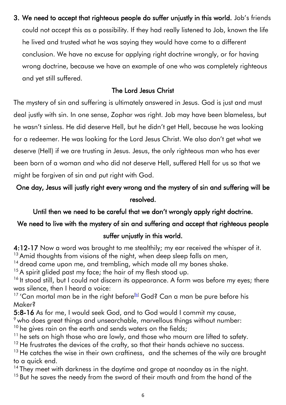3. We need to accept that righteous people do suffer unjustly in this world. Job's friends could not accept this as a possibility. If they had really listened to Job, known the life he lived and trusted what he was saying they would have come to a different conclusion. We have no excuse for applying right doctrine wrongly, or for having wrong doctrine, because we have an example of one who was completely righteous and yet still suffered.

#### The Lord Jesus Christ

The mystery of sin and suffering is ultimately answered in Jesus. God is just and must deal justly with sin. In one sense, Zophar was right. Job may have been blameless, but he wasn't sinless. He did deserve Hell, but he didn't get Hell, because he was looking for a redeemer. He was looking for the Lord Jesus Christ. We also don't get what we deserve (Hell) if we are trusting in Jesus. Jesus, the only righteous man who has ever been born of a woman and who did not deserve Hell, suffered Hell for us so that we might be forgiven of sin and put right with God.

#### One day, Jesus will justly right every wrong and the mystery of sin and suffering will be resolved.

Until then we need to be careful that we don't wrongly apply right doctrine.

#### We need to live with the mystery of sin and suffering and accept that righteous people suffer unjustly in this world.

# 4:12-17 Now a word was brought to me stealthily; my ear received the whisper of it.

<sup>13</sup> Amid thoughts from visions of the night, when deep sleep falls on men,

<sup>14</sup> dread came upon me, and trembling, which made all my bones shake.

 $15$  A spirit glided past my face; the hair of my flesh stood up.

<sup>16</sup> It stood still, but I could not discern its appearance. A form was before my eyes; there was silence, then I heard a voice:

<sup>17</sup> 'Can mortal man be in the right before<sup>[\[b\]](https://www.biblegateway.com/passage/?search=Job+4&version=ESVUK#fen-ESVUK-12948b)</sup> God? Can a man be pure before his Maker?

5:8-16 As for me, I would seek God, and to God would I commit my cause,

 $\degree$  who does great things and unsearchable, marvellous things without number:

 $10$  he gives rain on the earth and sends waters on the fields;

 $11$  he sets on high those who are lowly, and those who mourn are lifted to safety.

 $12$  He frustrates the devices of the crafty, so that their hands achieve no success.

 $13$  He catches the wise in their own craftiness, and the schemes of the wily are brought to a quick end.

<sup>14</sup> They meet with darkness in the daytime and grope at noonday as in the night. <sup>15</sup> But he saves the needy from the sword of their mouth and from the hand of the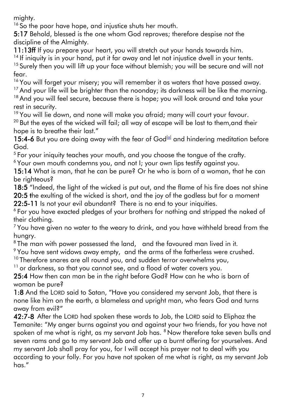mighty.

<sup>16</sup> So the poor have hope, and injustice shuts her mouth.

5:17 Behold, blessed is the one whom God reproves; therefore despise not the discipline of the Almighty.

11:13ff If you prepare your heart, you will stretch out your hands towards him.

<sup>14</sup> If iniquity is in your hand, put it far away and let not injustice dwell in your tents.

<sup>15</sup> Surely then you will lift up your face without blemish; you will be secure and will not fear.

<sup>16</sup> You will forget your misery; you will remember it as waters that have passed away.

<sup>17</sup> And your life will be brighter than the noonday; its darkness will be like the morning. <sup>18</sup> And you will feel secure, because there is hope; you will look around and take your

rest in security.

<sup>19</sup> You will lie down, and none will make you afraid; many will court your favour.

<sup>20</sup> But the eyes of the wicked will fail; all way of escape will be lost to them, and their hope is to breathe their last."

15:4-6 But you are doing away with the fear of God $^{[a]}$  $^{[a]}$  $^{[a]}$  and hindering meditation before God.

 $5$  For your iniquity teaches your mouth, and you choose the tongue of the crafty.

<sup>6</sup> Your own mouth condemns you, and not I; your own lips testify against you.

15:14 What is man, that he can be pure? Or he who is born of a woman, that he can be righteous?

18:5 "Indeed, the light of the wicked is put out, and the flame of his fire does not shine 20:5 the exulting of the wicked is short, and the joy of the godless but for a moment 22:5-11 Is not your evil abundant? There is no end to your iniquities.

<sup>6</sup> For you have exacted pledges of your brothers for nothing and stripped the naked of their clothing.

 $<sup>7</sup>$  You have given no water to the weary to drink, and you have withheld bread from the</sup> hungry.

 $8$ The man with power possessed the land,  $\,$  and the favoured man lived in it.

<sup>9</sup> You have sent widows away empty, and the arms of the fatherless were crushed.

<sup>10</sup> Therefore snares are all round you, and sudden terror overwhelms you,

 $11$  or darkness, so that you cannot see, and a flood of water covers you.

25:4 How then can man be in the right before God? How can he who is born of woman be pure?

1:8 And the LORD said to Satan, "Have you considered my servant Job, that there is none like him on the earth, a blameless and upright man, who fears God and turns away from evil?"

42:7-8 After the LORD had spoken these words to Job, the LORD said to Eliphaz the Temanite: "My anger burns against you and against your two friends, for you have not spoken of me what is right, as my servant Job has. <sup>8</sup> Now therefore take seven bulls and seven rams and go to my servant Job and offer up a burnt offering for yourselves. And my servant Job shall pray for you, for I will accept his prayer not to deal with you according to your folly. For you have not spoken of me what is right, as my servant Job has."